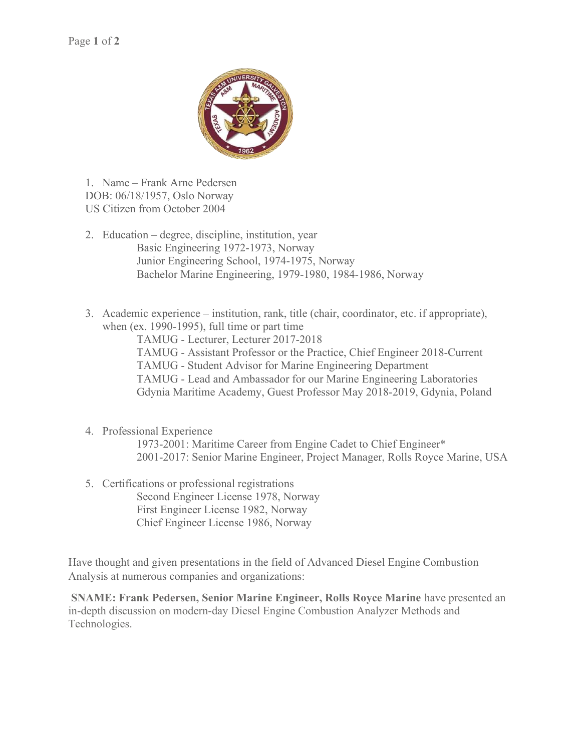

1. Name – Frank Arne Pedersen DOB: 06/18/1957, Oslo Norway US Citizen from October 2004

- 2. Education degree, discipline, institution, year Basic Engineering 1972-1973, Norway Junior Engineering School, 1974-1975, Norway Bachelor Marine Engineering, 1979-1980, 1984-1986, Norway
- 3. Academic experience institution, rank, title (chair, coordinator, etc. if appropriate), when (ex. 1990-1995), full time or part time

TAMUG - Lecturer, Lecturer 2017-2018

TAMUG - Assistant Professor or the Practice, Chief Engineer 2018-Current

TAMUG - Student Advisor for Marine Engineering Department

TAMUG - Lead and Ambassador for our Marine Engineering Laboratories Gdynia Maritime Academy, Guest Professor May 2018-2019, Gdynia, Poland

## 4. Professional Experience

1973-2001: Maritime Career from Engine Cadet to Chief Engineer\* 2001-2017: Senior Marine Engineer, Project Manager, Rolls Royce Marine, USA

5. Certifications or professional registrations Second Engineer License 1978, Norway First Engineer License 1982, Norway Chief Engineer License 1986, Norway

Have thought and given presentations in the field of Advanced Diesel Engine Combustion Analysis at numerous companies and organizations:

 SNAME: Frank Pedersen, Senior Marine Engineer, Rolls Royce Marine have presented an in-depth discussion on modern-day Diesel Engine Combustion Analyzer Methods and Technologies.